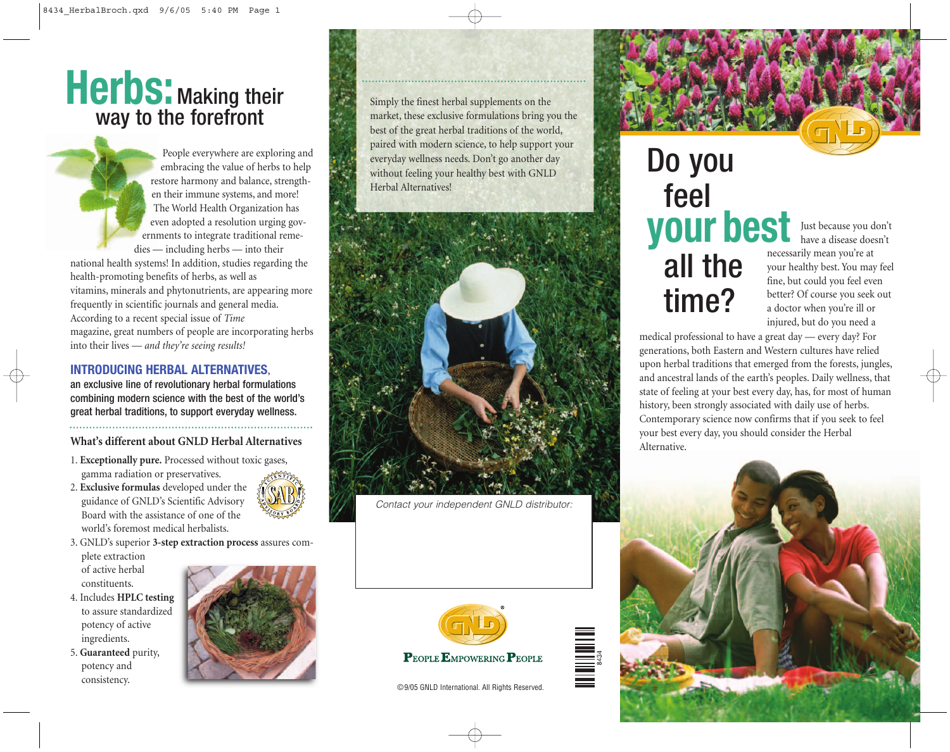## **Herbs:** Making their way to the forefront

People everywhere are exploring and embracing the value of herbs to help restore harmony and balance, strengthen their immune systems, and more! The World Health Organization has even adopted a resolution urging governments to integrate traditional remedies — including herbs — into their national health systems! In addition, studies regarding the

health-promoting benefits of herbs, as well as vitamins, minerals and phytonutrients, are appearing more frequently in scientific journals and general media. According to a recent special issue of *Time* magazine, great numbers of people are incorporating herbs into their lives — *and they're seeing results!* 

#### **INTRODUCING HERBAL ALTERNATIVES**,

an exclusive line of revolutionary herbal formulations combining modern science with the best of the world's great herbal traditions, to support everyday wellness.

**What's different about GNLD Herbal Alternatives**

1. **Exceptionally pure.** Processed without toxic gases, gamma radiation or preservatives.

- 2. **Exclusive formulas** developed under the guidance of GNLD's Scientific Advisory Board with the assistance of one of the world's foremost medical herbalists.
- 3. GNLD's superior **3-step extraction process** assures com-

plete extraction of active herbal constituents.

- 4. Includes **HPLC testing** to assure standardized potency of active ingredients.
- 5. **Guaranteed** purity, potency and consistency.



Simply the finest herbal supplements on the market, these exclusive formulations bring you the best of the great herbal traditions of the world, paired with modern science, to help support your everyday wellness needs. Don't go another day without feeling your healthy best with GNLD Herbal Alternatives!



*Contact your independent GNLD distributor:*



©9/05 GNLD International. All Rights Reserved.

# Do you feel **your best** all the time?

Just because you don't have a disease doesn't necessarily mean you're at your healthy best. You may feel fine, but could you feel even better? Of course you seek out a doctor when you're ill or injured, but do you need a

medical professional to have a great day — every day? For generations, both Eastern and Western cultures have relied upon herbal traditions that emerged from the forests, jungles, and ancestral lands of the earth's peoples. Daily wellness, that state of feeling at your best every day, has, for most of human history, been strongly associated with daily use of herbs. Contemporary science now confirms that if you seek to feel your best every day, you should consider the Herbal Alternative.